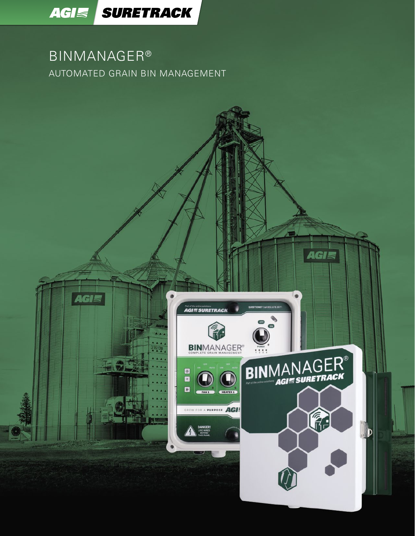

AGIS

### BINMANAGER® AUTOMATED GRAIN BIN MANAGEMENT



 $\frac{1}{216120}$ 





AGI

(行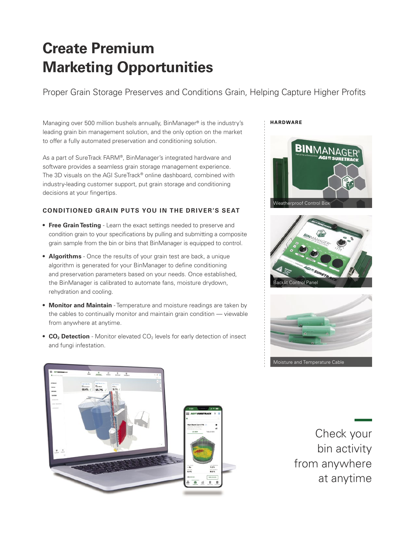## **Create Premium Marketing Opportunities**

Proper Grain Storage Preserves and Conditions Grain, Helping Capture Higher Profits

Managing over 500 million bushels annually, BinManager® is the industry's leading grain bin management solution, and the only option on the market to offer a fully automated preservation and conditioning solution.

As a part of SureTrack FARM®, BinManager's integrated hardware and software provides a seamless grain storage management experience. The 3D visuals on the AGI SureTrack® online dashboard, combined with industry-leading customer support, put grain storage and conditioning decisions at your fingertips.

#### **CONDITIONED GRAIN PUTS YOU IN THE DRIVER'S SEAT**

- **• Free Grain Testing** Learn the exact settings needed to preserve and condition grain to your specifications by pulling and submitting a composite grain sample from the bin or bins that BinManager is equipped to control.
- **• Algorithms** Once the results of your grain test are back, a unique algorithm is generated for your BinManager to define conditioning and preservation parameters based on your needs. Once established, the BinManager is calibrated to automate fans, moisture drydown, rehydration and cooling.
- **• Monitor and Maintain** Temperature and moisture readings are taken by the cables to continually monitor and maintain grain condition — viewable from anywhere at anytime.
- **CO<sub>2</sub> Detection** Monitor elevated CO<sub>2</sub> levels for early detection of insect and fungi infestation.

#### **HARDWARE**









Check your bin activity from anywhere at anytime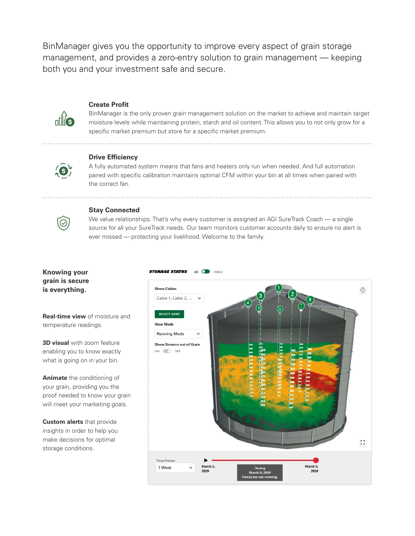BinManager gives you the opportunity to improve every aspect of grain storage management, and provides a zero-entry solution to grain management — keeping both you and your investment safe and secure.



#### **Create Profit**

BinManager is the only proven grain management solution on the market to achieve and maintain target moisture levels while maintaining protein, starch and oil content. This allows you to not only grow for a specific market premium but store for a specific market premium.



#### **Drive Efficiency**

A fully automated system means that fans and heaters only run when needed. And full automation paired with specific calibration maintains optimal CFM within your bin at all times when paired with the correct fan.



#### **Stay Connected**

**STORAGE STATUS** 

We value relationships. That's why every customer is assigned an AGI SureTrack Coach — a single source for all your SureTrack needs. Our team monitors customer accounts daily to ensure no alert is ever missed — protecting your livelihood. Welcome to the family.

 $3D$   $Q$ 

#### **Knowing your grain is secure is everything.**

**Show Cables**  $\odot$ Cable 1, Cable 2, ... **SELECT NONE View Mode Running Mode** Show Sensors out of Grain ON OFF  $\mathbb{C}^*$ **Time Frame** March 2, March 9, 1 Week 2020 2020

**Real-time view** of moisture and temperature readings.

**3D visual** with zoom feature enabling you to know exactly what is going on in your bin.

**Animate** the conditioning of your grain, providing you the proof needed to know your grain will meet your marketing goals.

**Custom alerts** that provide insights in order to help you make decisions for optimal storage conditions.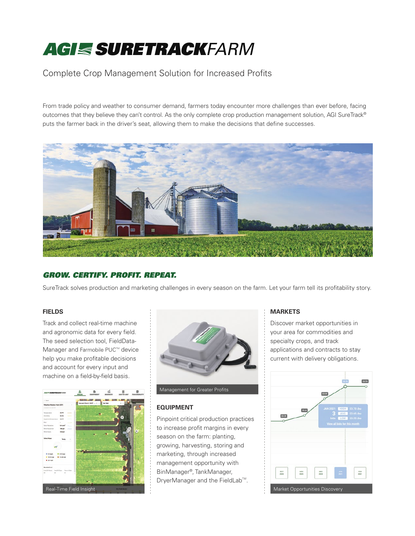# *SURETRACKFARM*

### Complete Crop Management Solution for Increased Profits

From trade policy and weather to consumer demand, farmers today encounter more challenges than ever before, facing outcomes that they believe they can't control. As the only complete crop production management solution, AGI SureTrack® puts the farmer back in the driver's seat, allowing them to make the decisions that define successes.



#### *GROW. CERTIFY. PROFIT. REPEAT.*

SureTrack solves production and marketing challenges in every season on the farm. Let your farm tell its profitability story.

#### **FIELDS**

Track and collect real-time machine and agronomic data for every field. The seed selection tool, FieldData-Manager and Farmobile PUC™ device help you make profitable decisions and account for every input and machine on a field-by-field basis.





#### **EQUIPMENT**

Pinpoint critical production practices to increase profit margins in every season on the farm: planting, growing, harvesting, storing and marketing, through increased management opportunity with BinManager®, TankManager, DryerManager and the FieldLab<sup>™</sup>.

#### **MARKETS**

Discover market opportunities in your area for commodities and specialty crops, and track applications and contracts to stay current with delivery obligations.

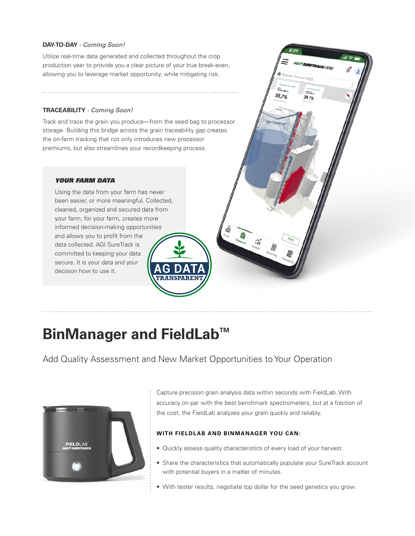#### **DAY-TO-DAY** *- Coming Soon!*

Utilize real-time data generated and collected throughout the crop production year to provide you a clear picture of your true break-even, allowing you to leverage market opportunity, while mitigating risk.

#### **TRACEABILITY** *- Coming Soon!*

Track and trace the grain you produce—from the seed bag to processor storage. Building this bridge across the grain traceability gap creates the on-farm tracking that not only introduces new processor premiums, but also streamlines your recordkeeping process.

#### *YOUR FARM DATA*

Using the data from your farm has never been easier, or more meaningful. Collected, cleaned, organized and secured data from your farm, for your farm, creates more informed decision-making opportunities and allows you to profit from the data collected. AGI SureTrack is committed to keeping your data secure. It is your data and your decision how to use it.



### **BinManager and FieldLab™**

Add Quality Assessment and New Market Opportunities to Your Operation



Capture precision grain analysis data within seconds with FieldLab. With accuracy on par with the best benchmark spectrometers, but at a fraction of the cost, the FieldLab analyzes your grain quickly and reliably.

GIE SURETRACKFARM

Farms (11429)

 $39.7%$ 

 $95.7%$ 

#### **WITH FIELDLAB AND BINMANAGER YOU CAN:**

- Quickly assess quality characteristics of every load of your harvest.
- Share the characteristics that automatically populate your SureTrack account with potential buyers in a matter of minutes.
- With tester results, negotiate top dollar for the seed genetics you grow.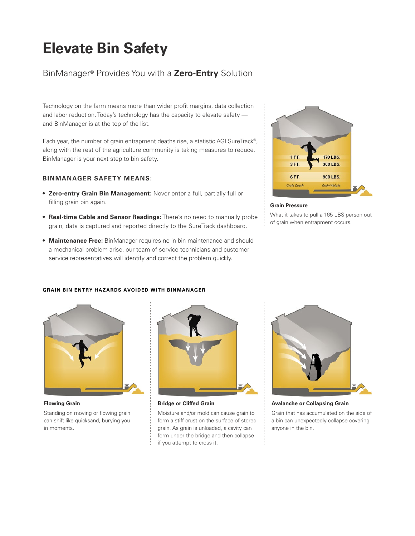### **Elevate Bin Safety**

### BinManager® Provides You with a **Zero-Entry** Solution

Technology on the farm means more than wider profit margins, data collection and labor reduction. Today's technology has the capacity to elevate safety and BinManager is at the top of the list.

Each year, the number of grain entrapment deaths rise, a statistic AGI SureTrack®, along with the rest of the agriculture community is taking measures to reduce. BinManager is your next step to bin safety.

#### **BINMANAGER SAFETY MEANS:**

- **• Zero-entry Grain Bin Management:** Never enter a full, partially full or filling grain bin again.
- **• Real-time Cable and Sensor Readings:** There's no need to manually probe grain, data is captured and reported directly to the SureTrack dashboard.
- **• Maintenance Free:** BinManager requires no in-bin maintenance and should a mechanical problem arise, our team of service technicians and customer service representatives will identify and correct the problem quickly.



#### **Grain Pressure**

What it takes to pull a 165 LBS person out of grain when entrapment occurs.

# **GRAIN BIN ENTRY HAZARDS AVOIDED WITH BINMANAGER**



#### **Flowing Grain**

Standing on moving or flowing grain can shift like quicksand, burying you in moments.



**Bridge or Cliffed Grain**

Moisture and/or mold can cause grain to form a stiff crust on the surface of stored grain. As grain is unloaded, a cavity can form under the bridge and then collapse if you attempt to cross it.



**Avalanche or Collapsing Grain**

Grain that has accumulated on the side of a bin can unexpectedly collapse covering anyone in the bin.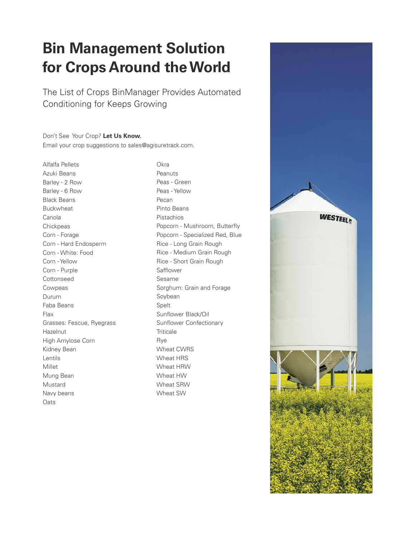## **Bin Management Solution for Crops Around the World**

The List of Crops BinManager Provides Automated Conditioning for Keeps Growing

Don't See Your Crop? **Let Us Know.**  Email your crop suggestions to sales@agisuretrack.com.

Alfalfa Pellets Azuki Beans Barley - 2 Row Barley - 6 Row Black Beans Buckwheat Canola **Chickpeas** Corn - Forage Corn - Hard Endosperm Corn - White: Food Corn - Yellow Corn - Purple Cottonseed Cowpeas Durum Faba Beans Flax Grasses: Fescue, Ryegrass Hazelnut High Amylose Corn Kidney Bean Lentils Millet Mung Bean Mustard Navy beans **Oats** 

Okra Peanuts Peas - Green Peas - Yellow Pecan Pinto Beans Pistachios Popcorn - Mushroom, Butterfly Popcorn - Specialized Red, Blue Rice - Long Grain Rough Rice - Medium Grain Rough Rice - Short Grain Rough Safflower Sesame Sorghum: Grain and Forage Soybean Spelt Sunflower Black/Oil Sunflower Confectionary **Triticale** Rye Wheat CWRS Wheat HRS Wheat HRW Wheat HW Wheat SRW Wheat SW